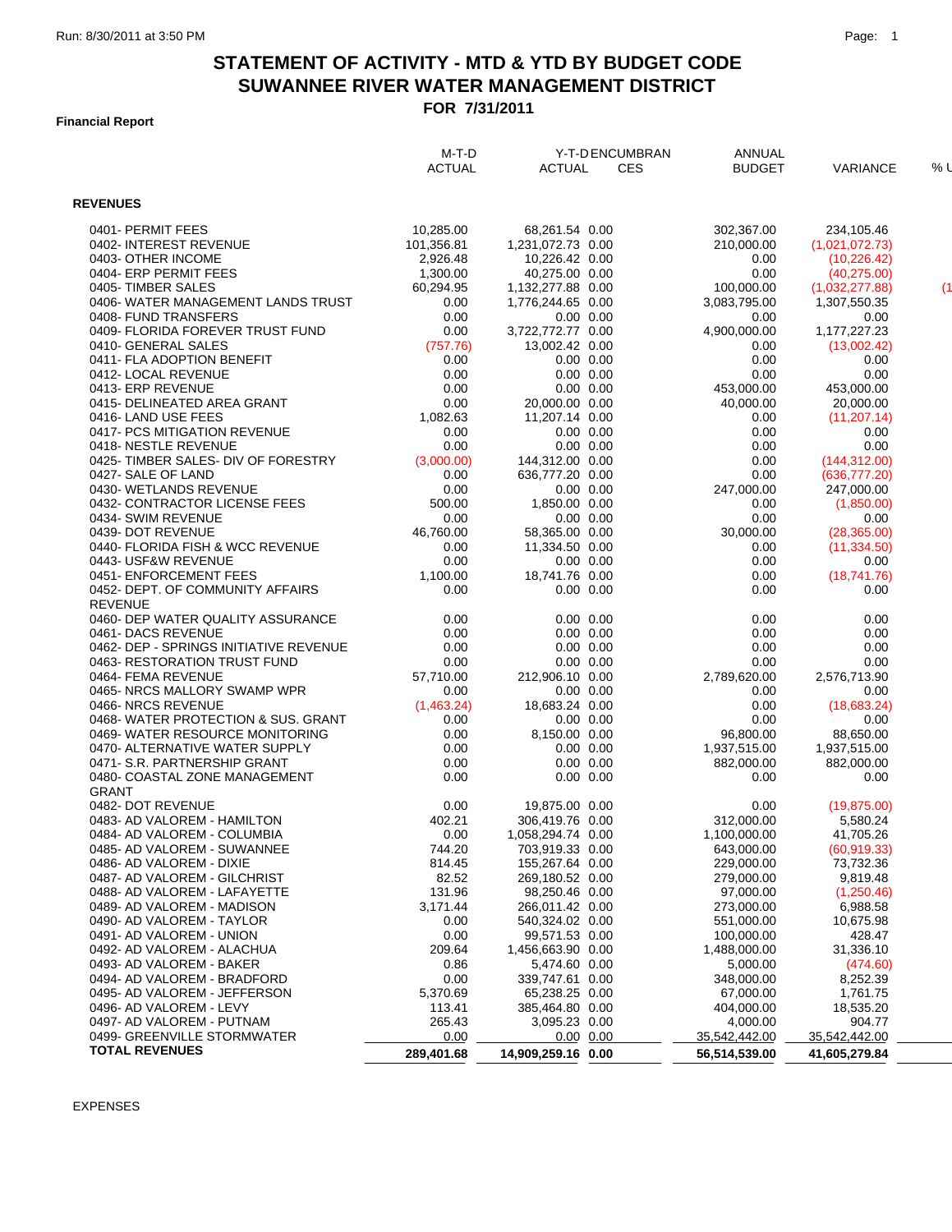## **STATEMENT OF ACTIVITY - MTD & YTD BY BUDGET CODE FOR 7/31/2011 SUWANNEE RIVER WATER MANAGEMENT DISTRICT**

### **Financial Report**

|                                                          | M-T-D<br><b>ACTUAL</b> | <b>ACTUAL</b>      | Y-T-D ENCUMBRAN<br><b>CES</b> | ANNUAL<br><b>BUDGET</b>   | <b>VARIANCE</b>         | % l |
|----------------------------------------------------------|------------------------|--------------------|-------------------------------|---------------------------|-------------------------|-----|
| <b>REVENUES</b>                                          |                        |                    |                               |                           |                         |     |
| 0401- PERMIT FEES                                        | 10.285.00              | 68,261.54 0.00     |                               | 302,367.00                | 234,105.46              |     |
| 0402-INTEREST REVENUE                                    | 101,356.81             | 1,231,072.73 0.00  |                               | 210,000.00                | (1,021,072.73)          |     |
| 0403- OTHER INCOME                                       | 2,926.48               | 10,226.42 0.00     |                               | 0.00                      | (10, 226.42)            |     |
| 0404- ERP PERMIT FEES                                    | 1,300.00               | 40,275.00 0.00     |                               | 0.00                      | (40, 275.00)            |     |
| 0405-TIMBER SALES                                        | 60,294.95              | 1,132,277.88 0.00  |                               | 100,000.00                | (1,032,277.88)          | (1) |
| 0406- WATER MANAGEMENT LANDS TRUST                       | 0.00                   | 1,776,244.65 0.00  |                               | 3,083,795.00              | 1,307,550.35            |     |
| 0408- FUND TRANSFERS                                     | 0.00                   |                    | $0.00 \quad 0.00$             | 0.00                      | 0.00                    |     |
| 0409- FLORIDA FOREVER TRUST FUND                         | 0.00                   | 3,722,772.77 0.00  |                               | 4,900,000.00              | 1,177,227.23            |     |
| 0410- GENERAL SALES                                      | (757.76)               | 13,002.42 0.00     |                               | 0.00                      | (13,002.42)             |     |
| 0411- FLA ADOPTION BENEFIT                               | 0.00                   |                    | $0.00\ 0.00$                  | 0.00                      | 0.00                    |     |
| 0412- LOCAL REVENUE                                      | 0.00                   |                    | $0.00 \quad 0.00$             | 0.00                      | 0.00                    |     |
| 0413- ERP REVENUE                                        | 0.00                   |                    | $0.00$ $0.00$                 | 453,000.00                | 453,000.00              |     |
| 0415- DELINEATED AREA GRANT                              | 0.00                   | 20,000.00 0.00     |                               | 40,000.00                 | 20,000.00               |     |
| 0416-LAND USE FEES                                       | 1,082.63               | 11,207.14 0.00     |                               | 0.00                      | (11, 207.14)            |     |
| 0417- PCS MITIGATION REVENUE                             | 0.00                   |                    | $0.00\ 0.00$                  | 0.00                      | 0.00                    |     |
| 0418- NESTLE REVENUE                                     | 0.00                   |                    | $0.00 \quad 0.00$             | 0.00                      | 0.00                    |     |
| 0425- TIMBER SALES- DIV OF FORESTRY                      | (3,000.00)             | 144,312.00 0.00    |                               | 0.00                      | (144, 312.00)           |     |
| 0427- SALE OF LAND                                       | 0.00                   | 636,777.20 0.00    |                               | 0.00                      | (636, 777.20)           |     |
| 0430- WETLANDS REVENUE                                   | 0.00                   |                    | $0.00 \quad 0.00$             | 247,000.00                | 247,000.00              |     |
| 0432- CONTRACTOR LICENSE FEES                            | 500.00                 | 1,850.00 0.00      |                               | 0.00                      | (1,850.00)              |     |
| 0434- SWIM REVENUE                                       | 0.00                   |                    | $0.00\ 0.00$                  | 0.00                      | 0.00                    |     |
| 0439- DOT REVENUE                                        | 46,760.00              | 58,365.00 0.00     |                               | 30,000.00                 | (28, 365.00)            |     |
| 0440- FLORIDA FISH & WCC REVENUE<br>0443- USF&W REVENUE  | 0.00<br>0.00           | 11,334.50 0.00     | $0.00 \quad 0.00$             | 0.00                      | (11, 334.50)            |     |
| 0451- ENFORCEMENT FEES                                   |                        | 18,741.76 0.00     |                               | 0.00                      | 0.00<br>(18.741.76)     |     |
| 0452- DEPT. OF COMMUNITY AFFAIRS                         | 1,100.00<br>0.00       |                    | $0.00 \quad 0.00$             | 0.00<br>0.00              | 0.00                    |     |
| <b>REVENUE</b>                                           |                        |                    |                               |                           |                         |     |
| 0460- DEP WATER QUALITY ASSURANCE                        | 0.00                   |                    | $0.00 \quad 0.00$             | 0.00                      | 0.00                    |     |
| 0461- DACS REVENUE                                       | 0.00                   |                    | $0.00 \quad 0.00$             | 0.00                      | 0.00                    |     |
| 0462- DEP - SPRINGS INITIATIVE REVENUE                   | 0.00                   |                    | $0.00$ $0.00$                 | 0.00                      | 0.00                    |     |
| 0463-RESTORATION TRUST FUND                              | 0.00                   |                    | $0.00 \quad 0.00$             | 0.00                      | 0.00                    |     |
| 0464- FEMA REVENUE                                       | 57,710.00              | 212,906.10 0.00    |                               | 2,789,620.00              | 2,576,713.90            |     |
| 0465- NRCS MALLORY SWAMP WPR                             | 0.00                   |                    | $0.00 \quad 0.00$             | 0.00                      | 0.00                    |     |
| 0466-NRCS REVENUE                                        | (1,463.24)             | 18,683.24 0.00     |                               | 0.00                      | (18,683.24)             |     |
| 0468-WATER PROTECTION & SUS. GRANT                       | 0.00                   |                    | $0.00 \quad 0.00$             | 0.00                      | 0.00                    |     |
| 0469- WATER RESOURCE MONITORING                          | 0.00                   | 8,150.00 0.00      |                               | 96,800.00                 | 88,650.00               |     |
| 0470- ALTERNATIVE WATER SUPPLY                           | 0.00                   |                    | $0.00 \quad 0.00$             | 1,937,515.00              | 1,937,515.00            |     |
| 0471- S.R. PARTNERSHIP GRANT                             | 0.00                   |                    | $0.00$ $0.00$                 | 882,000.00                | 882,000.00              |     |
| 0480- COASTAL ZONE MANAGEMENT                            | 0.00                   |                    | $0.00$ $0.00$                 | 0.00                      | 0.00                    |     |
| <b>GRANT</b>                                             |                        |                    |                               |                           |                         |     |
| 0482- DOT REVENUE                                        | 0.00                   | 19,875.00 0.00     |                               | 0.00                      | (19, 875.00)            |     |
| 0483- AD VALOREM - HAMILTON                              | 402.21                 | 306,419.76 0.00    |                               | 312,000.00                | 5,580.24                |     |
| 0484- AD VALOREM - COLUMBIA                              | 0.00                   | 1,058,294.74 0.00  |                               | 1,100,000.00              | 41,705.26               |     |
| 0485- AD VALOREM - SUWANNEE                              | 744.20                 | 703,919.33 0.00    |                               | 643,000.00                | (60, 919.33)            |     |
| 0486- AD VALOREM - DIXIE                                 | 814.45                 | 155,267.64 0.00    |                               | 229,000.00                | 73,732.36               |     |
| 0487- AD VALOREM - GILCHRIST                             | 82.52                  | 269,180.52 0.00    |                               | 279,000.00                | 9,819.48                |     |
| 0488- AD VALOREM - LAFAYETTE                             | 131.96                 | 98,250.46 0.00     |                               | 97,000.00                 | (1,250.46)              |     |
| 0489- AD VALOREM - MADISON                               | 3,171.44               | 266,011.42 0.00    |                               | 273,000.00                | 6,988.58                |     |
| 0490- AD VALOREM - TAYLOR                                | 0.00                   | 540,324.02 0.00    |                               | 551,000.00                | 10,675.98               |     |
| 0491- AD VALOREM - UNION                                 | 0.00                   | 99,571.53 0.00     |                               | 100,000.00                | 428.47                  |     |
| 0492- AD VALOREM - ALACHUA                               | 209.64                 | 1,456,663.90 0.00  |                               | 1,488,000.00              | 31,336.10               |     |
| 0493- AD VALOREM - BAKER                                 | 0.86                   | 5,474.60 0.00      |                               | 5,000.00                  | (474.60)                |     |
| 0494- AD VALOREM - BRADFORD                              | 0.00                   | 339,747.61 0.00    |                               | 348,000.00                | 8,252.39                |     |
| 0495- AD VALOREM - JEFFERSON                             | 5,370.69               | 65,238.25 0.00     |                               | 67,000.00                 | 1,761.75                |     |
| 0496- AD VALOREM - LEVY                                  | 113.41                 | 385,464.80 0.00    |                               | 404,000.00                | 18,535.20               |     |
| 0497- AD VALOREM - PUTNAM<br>0499- GREENVILLE STORMWATER | 265.43<br>0.00         | 3,095.23 0.00      | $0.00$ $0.00$                 | 4,000.00<br>35,542,442.00 | 904.77<br>35,542,442.00 |     |
| <b>TOTAL REVENUES</b>                                    |                        |                    |                               |                           |                         |     |
|                                                          | 289,401.68             | 14,909,259.16 0.00 |                               | 56,514,539.00             | 41,605,279.84           |     |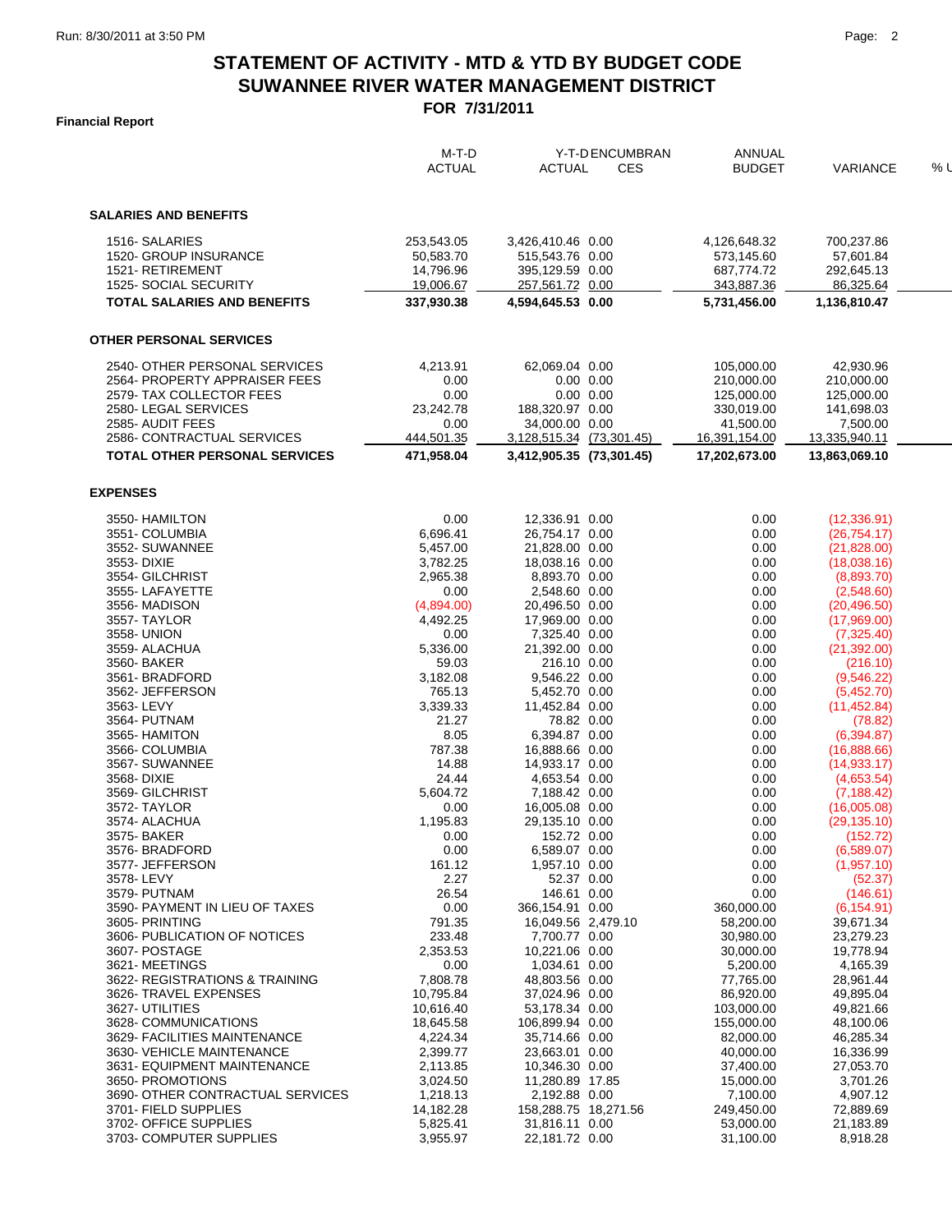# **STATEMENT OF ACTIVITY - MTD & YTD BY BUDGET CODE FOR 7/31/2011 SUWANNEE RIVER WATER MANAGEMENT DISTRICT**

### **Financial Report**

|                                               | $M-T-D$               | Y-T-D ENCUMBRAN                        |                   | <b>ANNUAL</b>           |                            |       |
|-----------------------------------------------|-----------------------|----------------------------------------|-------------------|-------------------------|----------------------------|-------|
|                                               | <b>ACTUAL</b>         | <b>ACTUAL</b>                          | <b>CES</b>        | <b>BUDGET</b>           | <b>VARIANCE</b>            | $%$ L |
| <b>SALARIES AND BENEFITS</b>                  |                       |                                        |                   |                         |                            |       |
| 1516-SALARIES                                 | 253,543.05            | 3,426,410.46 0.00                      |                   | 4,126,648.32            | 700,237.86                 |       |
| <b>1520- GROUP INSURANCE</b>                  | 50,583.70             | 515,543.76 0.00                        |                   | 573,145.60              | 57,601.84                  |       |
| 1521- RETIREMENT                              | 14,796.96             | 395,129.59 0.00                        |                   | 687,774.72              | 292,645.13                 |       |
| 1525- SOCIAL SECURITY                         | 19,006.67             | 257,561.72 0.00                        |                   | 343,887.36              | 86,325.64                  |       |
| <b>TOTAL SALARIES AND BENEFITS</b>            | 337,930.38            | 4,594,645.53 0.00                      |                   | 5,731,456.00            | 1,136,810.47               |       |
| <b>OTHER PERSONAL SERVICES</b>                |                       |                                        |                   |                         |                            |       |
|                                               |                       |                                        |                   |                         |                            |       |
| 2540- OTHER PERSONAL SERVICES                 | 4,213.91              | 62,069.04 0.00                         |                   | 105.000.00              | 42.930.96                  |       |
| 2564- PROPERTY APPRAISER FEES                 | 0.00                  |                                        | $0.00$ $0.00$     | 210,000.00              | 210,000.00                 |       |
| 2579 TAX COLLECTOR FEES                       | 0.00                  |                                        | $0.00 \quad 0.00$ | 125,000.00              | 125,000.00                 |       |
| 2580-LEGAL SERVICES<br>2585- AUDIT FEES       | 23,242.78<br>0.00     | 188,320.97 0.00<br>34,000.00 0.00      |                   | 330,019.00<br>41,500.00 | 141,698.03<br>7,500.00     |       |
| 2586- CONTRACTUAL SERVICES                    | 444,501.35            | 3,128,515.34 (73,301.45)               |                   | 16,391,154.00           | 13,335,940.11              |       |
| TOTAL OTHER PERSONAL SERVICES                 | 471,958.04            | 3,412,905.35 (73,301.45)               |                   | 17.202.673.00           | 13,863,069.10              |       |
|                                               |                       |                                        |                   |                         |                            |       |
| <b>EXPENSES</b>                               |                       |                                        |                   |                         |                            |       |
| 3550- HAMILTON                                | 0.00                  | 12,336.91 0.00                         |                   | 0.00                    | (12, 336.91)               |       |
| 3551- COLUMBIA                                | 6,696.41              | 26,754.17 0.00                         |                   | 0.00                    | (26, 754.17)               |       |
| 3552- SUWANNEE                                | 5,457.00              | 21,828.00 0.00                         |                   | 0.00                    | (21,828.00)                |       |
| 3553-DIXIE                                    | 3,782.25              | 18,038.16 0.00                         |                   | 0.00                    | (18,038.16)                |       |
| 3554- GILCHRIST                               | 2,965.38              | 8,893.70 0.00                          |                   | 0.00                    | (8,893.70)                 |       |
| 3555-LAFAYETTE                                | 0.00                  | 2,548.60 0.00                          |                   | 0.00                    | (2,548.60)                 |       |
| 3556-MADISON                                  | (4,894.00)            | 20,496.50 0.00                         |                   | 0.00                    | (20, 496.50)               |       |
| 3557-TAYLOR                                   | 4,492.25              | 17,969.00 0.00                         |                   | 0.00                    | (17,969.00)                |       |
| 3558- UNION<br>3559- ALACHUA                  | 0.00<br>5,336.00      | 7,325.40 0.00<br>21,392.00 0.00        |                   | 0.00<br>0.00            | (7,325.40)<br>(21, 392.00) |       |
| 3560-BAKER                                    | 59.03                 | 216.10 0.00                            |                   | 0.00                    | (216.10)                   |       |
| 3561-BRADFORD                                 | 3,182.08              | 9,546.22 0.00                          |                   | 0.00                    | (9,546.22)                 |       |
| 3562- JEFFERSON                               | 765.13                | 5,452.70 0.00                          |                   | 0.00                    | (5,452.70)                 |       |
| 3563-LEVY                                     | 3,339.33              | 11,452.84 0.00                         |                   | 0.00                    | (11, 452.84)               |       |
| 3564- PUTNAM                                  | 21.27                 | 78.82 0.00                             |                   | 0.00                    | (78.82)                    |       |
| 3565- HAMITON                                 | 8.05                  | 6,394.87 0.00                          |                   | 0.00                    | (6,394.87)                 |       |
| 3566- COLUMBIA                                | 787.38                | 16,888.66 0.00                         |                   | 0.00                    | (16,888.66)                |       |
| 3567- SUWANNEE                                | 14.88                 | 14,933.17 0.00                         |                   | 0.00                    | (14, 933.17)               |       |
| 3568-DIXIE                                    | 24.44                 | 4,653.54 0.00                          |                   | 0.00                    | (4,653.54)                 |       |
| 3569- GILCHRIST                               | 5,604.72              | 7,188.42 0.00                          |                   | 0.00                    | (7, 188.42)                |       |
| 3572- TAYLOR                                  | 0.00                  | 16,005.08 0.00                         |                   | 0.00                    | (16,005.08)                |       |
| 3574- ALACHUA                                 | 1,195.83              | 29,135.10 0.00                         |                   | 0.00                    | (29, 135.10)               |       |
| 3575- BAKER                                   | 0.00                  | 152.72 0.00                            |                   | 0.00                    | (152.72)                   |       |
| 3576-BRADFORD                                 | 0.00                  | 6,589.07 0.00                          |                   | 0.00                    | (6,589.07)                 |       |
| 3577- JEFFERSON<br>3578-LEVY                  | 161.12<br>2.27        | 1,957.10 0.00<br>52.37 0.00            |                   | 0.00<br>0.00            | (1,957.10)<br>(52.37)      |       |
| 3579- PUTNAM                                  | 26.54                 | 146.61 0.00                            |                   | 0.00                    | (146.61)                   |       |
| 3590- PAYMENT IN LIEU OF TAXES                | 0.00                  | 366.154.91 0.00                        |                   | 360,000.00              | (6, 154.91)                |       |
| 3605- PRINTING                                | 791.35                | 16,049.56 2,479.10                     |                   | 58,200.00               | 39,671.34                  |       |
| 3606- PUBLICATION OF NOTICES                  | 233.48                | 7,700.77 0.00                          |                   | 30.980.00               | 23,279.23                  |       |
| 3607- POSTAGE                                 | 2,353.53              | 10,221.06 0.00                         |                   | 30,000.00               | 19,778.94                  |       |
| 3621-MEETINGS                                 | 0.00                  | 1,034.61 0.00                          |                   | 5,200.00                | 4,165.39                   |       |
| 3622- REGISTRATIONS & TRAINING                | 7,808.78              | 48,803.56 0.00                         |                   | 77,765.00               | 28,961.44                  |       |
| 3626- TRAVEL EXPENSES                         | 10,795.84             | 37,024.96 0.00                         |                   | 86,920.00               | 49,895.04                  |       |
| 3627- UTILITIES                               | 10,616.40             | 53,178.34 0.00                         |                   | 103,000.00              | 49,821.66                  |       |
| 3628- COMMUNICATIONS                          | 18,645.58             | 106,899.94 0.00                        |                   | 155,000.00              | 48,100.06                  |       |
| 3629- FACILITIES MAINTENANCE                  | 4,224.34              | 35,714.66 0.00                         |                   | 82,000.00               | 46,285.34                  |       |
| 3630- VEHICLE MAINTENANCE                     | 2,399.77              | 23,663.01 0.00                         |                   | 40,000.00               | 16,336.99                  |       |
| 3631- EQUIPMENT MAINTENANCE                   | 2,113.85              | 10,346.30 0.00                         |                   | 37,400.00               | 27,053.70                  |       |
| 3650- PROMOTIONS                              | 3,024.50              | 11,280.89 17.85                        |                   | 15,000.00               | 3,701.26                   |       |
| 3690- OTHER CONTRACTUAL SERVICES              | 1,218.13              | 2,192.88 0.00                          |                   | 7,100.00                | 4,907.12                   |       |
| 3701- FIELD SUPPLIES<br>3702- OFFICE SUPPLIES | 14,182.28<br>5,825.41 | 158,288.75 18,271.56<br>31,816.11 0.00 |                   | 249,450.00<br>53,000.00 | 72,889.69<br>21,183.89     |       |
| 3703- COMPUTER SUPPLIES                       | 3,955.97              | 22,181.72 0.00                         |                   | 31,100.00               | 8,918.28                   |       |
|                                               |                       |                                        |                   |                         |                            |       |